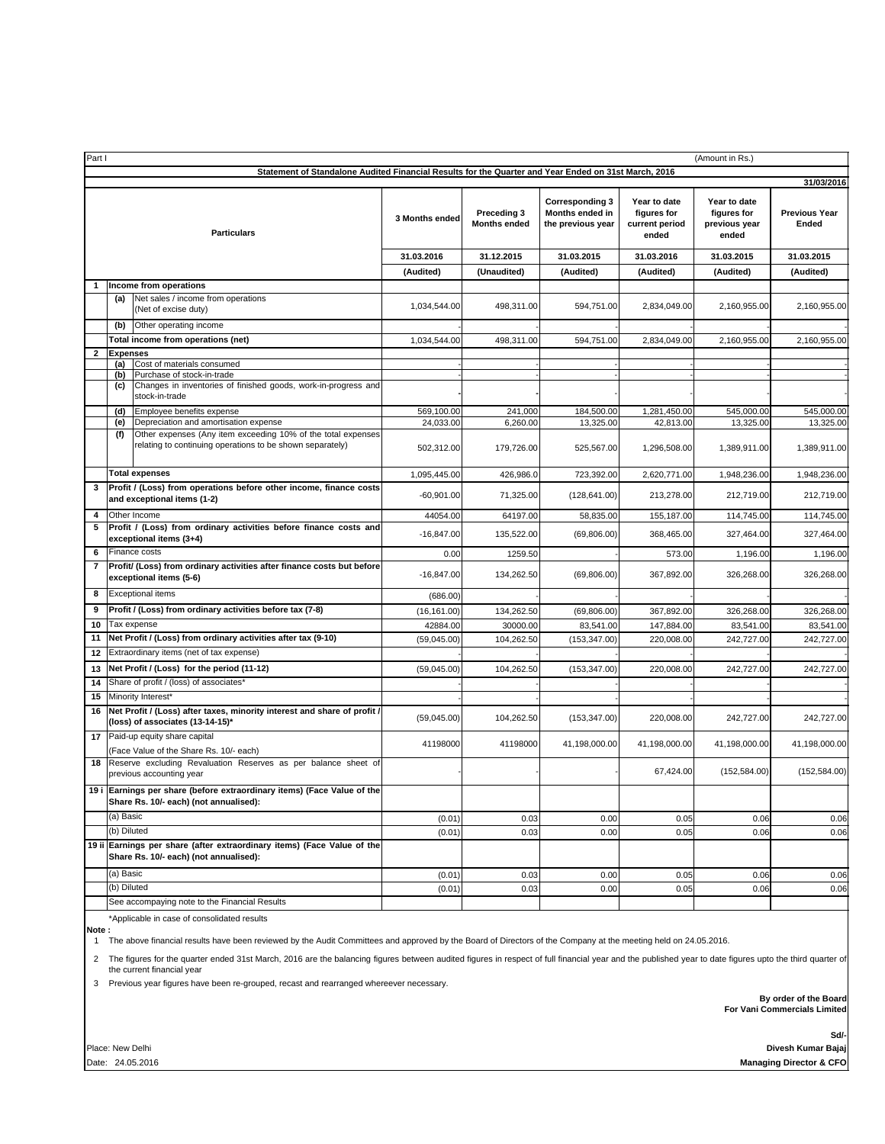| Part I<br>(Amount in Rs.)                                                                            |                        |                                                                                                                   |                                    |                                                                |                                                        |                                                       |                                             |               |
|------------------------------------------------------------------------------------------------------|------------------------|-------------------------------------------------------------------------------------------------------------------|------------------------------------|----------------------------------------------------------------|--------------------------------------------------------|-------------------------------------------------------|---------------------------------------------|---------------|
| Statement of Standalone Audited Financial Results for the Quarter and Year Ended on 31st March, 2016 |                        |                                                                                                                   |                                    |                                                                |                                                        |                                                       |                                             |               |
| <b>Particulars</b>                                                                                   |                        | 3 Months ended                                                                                                    | Preceding 3<br><b>Months ended</b> | <b>Corresponding 3</b><br>Months ended in<br>the previous year | Year to date<br>figures for<br>current period<br>ended | Year to date<br>figures for<br>previous year<br>ended | 31/03/2016<br><b>Previous Year</b><br>Ended |               |
|                                                                                                      |                        |                                                                                                                   | 31.03.2016                         | 31.12.2015                                                     | 31.03.2015                                             | 31.03.2016                                            | 31.03.2015                                  | 31.03.2015    |
|                                                                                                      |                        | (Audited)                                                                                                         | (Unaudited)                        | (Audited)                                                      | (Audited)                                              | (Audited)                                             | (Audited)                                   |               |
| 1                                                                                                    |                        | Income from operations                                                                                            |                                    |                                                                |                                                        |                                                       |                                             |               |
|                                                                                                      | (a)                    | Net sales / income from operations<br>(Net of excise duty)                                                        | 1,034,544.00                       | 498,311.00                                                     | 594,751.00                                             | 2,834,049.00                                          | 2,160,955.00                                | 2,160,955.00  |
|                                                                                                      | (b)                    | Other operating income                                                                                            |                                    |                                                                |                                                        |                                                       |                                             |               |
|                                                                                                      |                        | <b>Total income from operations (net)</b>                                                                         | 1,034,544.00                       | 498,311.00                                                     | 594,751.00                                             | 2,834,049.00                                          | 2,160,955.00                                | 2,160,955.00  |
| 2                                                                                                    | <b>Expenses</b><br>(a) | Cost of materials consumed                                                                                        |                                    |                                                                |                                                        |                                                       |                                             |               |
|                                                                                                      | (b)                    | Purchase of stock-in-trade                                                                                        |                                    |                                                                |                                                        |                                                       |                                             |               |
|                                                                                                      | (c)                    | Changes in inventories of finished goods, work-in-progress and<br>stock-in-trade                                  |                                    |                                                                |                                                        |                                                       |                                             |               |
|                                                                                                      | (d)                    | Employee benefits expense                                                                                         | 569,100.00                         | 241,000                                                        | 184,500.00                                             | 1,281,450.00                                          | 545,000.00                                  | 545,000.00    |
|                                                                                                      | (e)                    | Depreciation and amortisation expense<br>Other expenses (Any item exceeding 10% of the total expenses             | 24,033.00                          | 6,260.00                                                       | 13,325.00                                              | 42,813.00                                             | 13,325.00                                   | 13,325.00     |
|                                                                                                      | (f)                    | relating to continuing operations to be shown separately)                                                         | 502,312.00                         | 179,726.00                                                     | 525,567.00                                             | 1,296,508.00                                          | 1,389,911.00                                | 1,389,911.00  |
|                                                                                                      |                        | <b>Total expenses</b>                                                                                             | 1,095,445.00                       | 426,986.0                                                      | 723,392.00                                             | 2,620,771.00                                          | 1,948,236.00                                | 1,948,236.00  |
| 3                                                                                                    |                        | Profit / (Loss) from operations before other income, finance costs<br>and exceptional items (1-2)                 | $-60,901.00$                       | 71,325.00                                                      | (128, 641.00)                                          | 213,278.00                                            | 212,719.00                                  | 212,719.00    |
| 4                                                                                                    |                        | Other Income                                                                                                      | 44054.00                           | 64197.00                                                       | 58,835.00                                              | 155,187.00                                            | 114,745.00                                  | 114,745.00    |
| 5                                                                                                    |                        | Profit / (Loss) from ordinary activities before finance costs and<br>exceptional items (3+4)                      | $-16,847.00$                       | 135,522.00                                                     | (69,806.00)                                            | 368,465.00                                            | 327,464.00                                  | 327,464.00    |
| 6                                                                                                    |                        | Finance costs                                                                                                     | 0.00                               | 1259.50                                                        |                                                        | 573.00                                                | 1,196.00                                    | 1,196.00      |
| $\overline{7}$                                                                                       |                        | Profit/ (Loss) from ordinary activities after finance costs but before<br>exceptional items (5-6)                 | $-16,847.00$                       | 134,262.50                                                     | (69, 806.00)                                           | 367,892.00                                            | 326,268.00                                  | 326,268.00    |
| 8                                                                                                    |                        | <b>Exceptional items</b>                                                                                          | (686.00)                           |                                                                |                                                        |                                                       |                                             |               |
| 9                                                                                                    |                        | Profit / (Loss) from ordinary activities before tax (7-8)                                                         | (16, 161.00)                       | 134,262.50                                                     | (69, 806.00)                                           | 367,892.00                                            | 326,268.00                                  | 326,268.00    |
| 10                                                                                                   |                        | Tax expense                                                                                                       | 42884.00                           | 30000.00                                                       | 83,541.00                                              | 147,884.00                                            | 83,541.00                                   | 83,541.00     |
| 11                                                                                                   |                        | Net Profit / (Loss) from ordinary activities after tax (9-10)                                                     | (59,045.00)                        | 104,262.50                                                     | (153, 347.00)                                          | 220,008.00                                            | 242,727.00                                  | 242,727.00    |
| 12                                                                                                   |                        | Extraordinary items (net of tax expense)                                                                          |                                    |                                                                |                                                        |                                                       |                                             |               |
| 13                                                                                                   |                        | Net Profit / (Loss) for the period (11-12)                                                                        | (59,045.00)                        | 104,262.50                                                     | (153, 347.00)                                          | 220,008.00                                            | 242,727.00                                  | 242,727.00    |
| 14<br>15                                                                                             |                        | Share of profit / (loss) of associates*<br>Minority Interest*                                                     |                                    |                                                                |                                                        |                                                       |                                             |               |
| 16                                                                                                   |                        | Net Profit / (Loss) after taxes, minority interest and share of profit /                                          |                                    |                                                                |                                                        |                                                       |                                             |               |
|                                                                                                      |                        | (loss) of associates (13-14-15)*                                                                                  | (59,045.00)                        | 104,262.50                                                     | (153, 347.00)                                          | 220,008.00                                            | 242,727.00                                  | 242,727.00    |
| 17                                                                                                   |                        | Paid-up equity share capital<br>(Face Value of the Share Rs. 10/- each)                                           | 41198000                           | 41198000                                                       | 41,198,000.00                                          | 41,198,000.00                                         | 41,198,000.00                               | 41,198,000.00 |
| 18                                                                                                   |                        | Reserve excluding Revaluation Reserves as per balance sheet of<br>previous accounting year                        |                                    |                                                                |                                                        | 67,424.00                                             | (152, 584.00)                               | (152, 584.00) |
|                                                                                                      |                        | 19 i Earnings per share (before extraordinary items) (Face Value of the<br>Share Rs. 10/- each) (not annualised): |                                    |                                                                |                                                        |                                                       |                                             |               |
|                                                                                                      | (a) Basic              |                                                                                                                   | (0.01)                             | 0.03                                                           | 0.00                                                   | 0.05                                                  | 0.06                                        | 0.06          |
|                                                                                                      | (b) Diluted            |                                                                                                                   | (0.01)                             | 0.03                                                           | 0.00                                                   | 0.05                                                  | 0.06                                        | 0.06          |
|                                                                                                      |                        | 19 ii Earnings per share (after extraordinary items) (Face Value of the<br>Share Rs. 10/- each) (not annualised): |                                    |                                                                |                                                        |                                                       |                                             |               |
|                                                                                                      | (a) Basic              |                                                                                                                   | (0.01)                             | 0.03                                                           | 0.00                                                   | 0.05                                                  | 0.06                                        | 0.06          |
|                                                                                                      | (b) Diluted            |                                                                                                                   | (0.01)                             | 0.03                                                           | 0.00                                                   | 0.05                                                  | 0.06                                        | 0.06          |
|                                                                                                      |                        | See accompaying note to the Financial Results                                                                     |                                    |                                                                |                                                        |                                                       |                                             |               |

\*Applicable in case of consolidated results **Note :**

1 The above financial results have been reviewed by the Audit Committees and approved by the Board of Directors of the Company at the meeting held on 24.05.2016.

The figures for the quarter ended 31st March, 2016 are the balancing figures between audited figures in respect of full financial year and the published year to date figures upto the third quarter of<br>the current financial

3 Previous year figures have been re-grouped, recast and rearranged whereever necessary.

 **For Vani Commercials Limited By order of the Board**

Place: New Delhi

**Sd/-** Date: 24.05.2016 **Managing Director & CFO Divesh Kumar Bajaj**